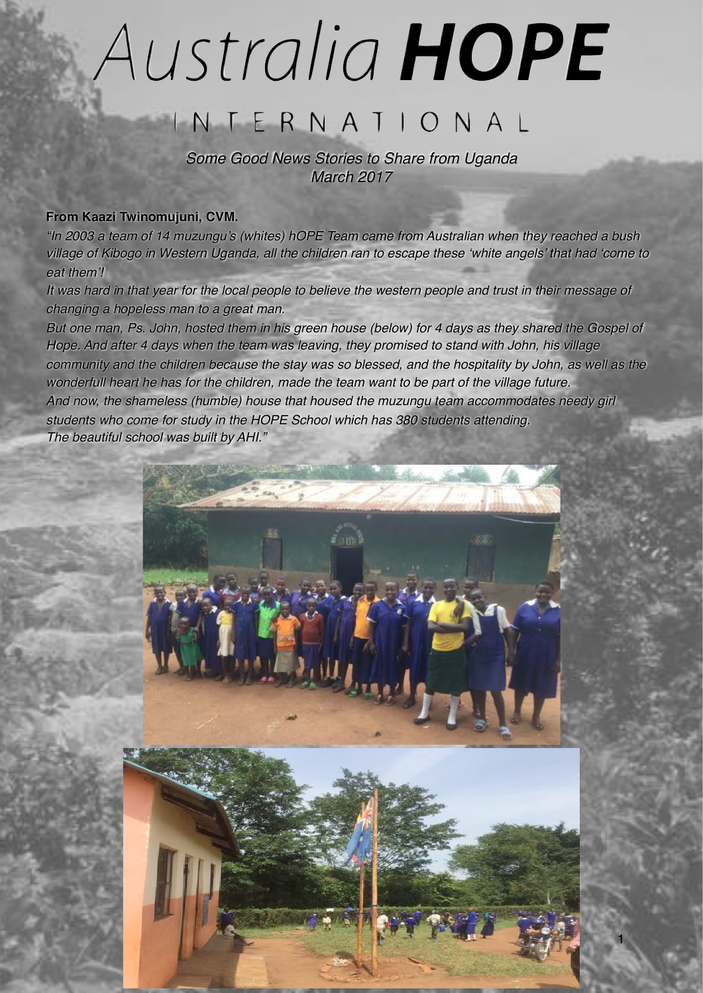# Australia HOPE NTERNATIONA

*Some Good News Stories to Share from Uganda March 2017*

#### **From Kaazi Twinomujuni, CVM.**

*"In 2003 a team of 14 muzungu's (whites) hOPE Team came from Australian when they reached a bush village of Kibogo in Western Uganda, all the children ran to escape these 'white angels' that had 'come to eat them'!*

*It was hard in that year for the local people to believe the western people and trust in their message of changing a hopeless man to a great man.*

*But one man, Ps. John, hosted them in his green house (below) for 4 days as they shared the Gospel of Hope. And after 4 days when the team was leaving, they promised to stand with John, his village community and the children because the stay was so blessed, and the hospitality by John, as well as the wonderfull heart he has for the children, made the team want to be part of the village future. And now, the shameless (humble) house that housed the muzungu team accommodates needy girl students who come for study in the HOPE School which has 380 students attending. The beautiful school was built by AHI."*



1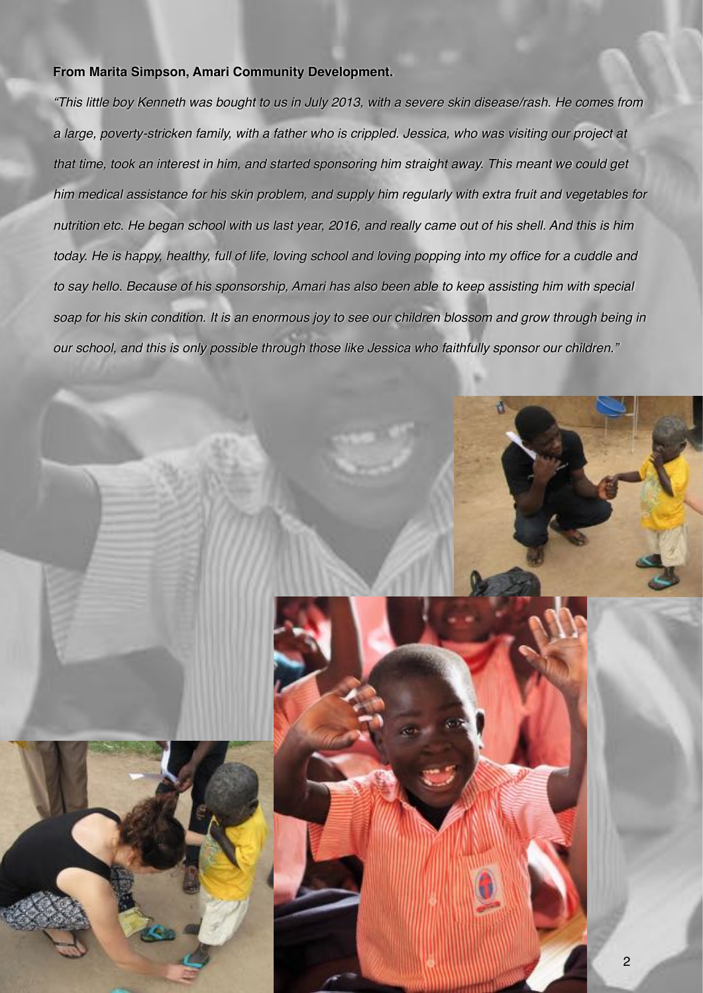#### **From Marita Simpson, Amari Community Development.**

*"This little boy Kenneth was bought to us in July 2013, with a severe skin disease/rash. He comes from a large, poverty-stricken family, with a father who is crippled. Jessica, who was visiting our project at that time, took an interest in him, and started sponsoring him straight away. This meant we could get him medical assistance for his skin problem, and supply him regularly with extra fruit and vegetables for nutrition etc. He began school with us last year, 2016, and really came out of his shell. And this is him today. He is happy, healthy, full of life, loving school and loving popping into my office for a cuddle and to say hello. Because of his sponsorship, Amari has also been able to keep assisting him with special soap for his skin condition. It is an enormous joy to see our children blossom and grow through being in our school, and this is only possible through those like Jessica who faithfully sponsor our children."*



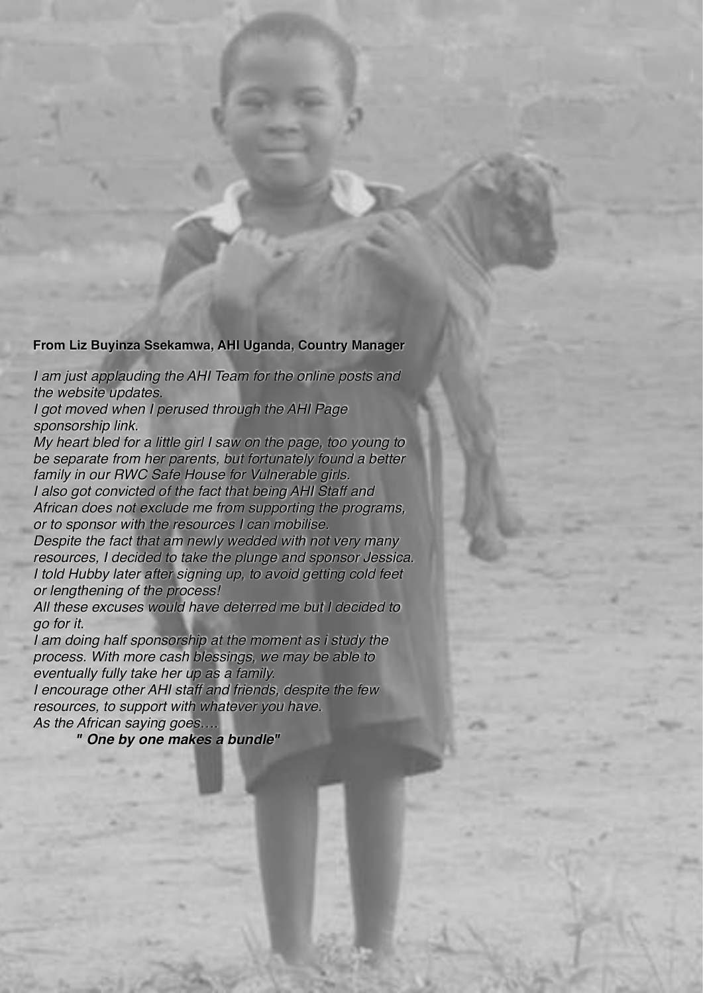### **From Liz Buyinza Ssekamwa, AHI Uganda, Country Manager**

*I am just applauding the AHI Team for the online posts and the website updates.*

*I got moved when I perused through the AHI Page sponsorship link.*

*My heart bled for a little girl I saw on the page, too young to be separate from her parents, but fortunately found a better family in our RWC Safe House for Vulnerable girls. I also got convicted of the fact that being AHI Staff and* 

*African does not exclude me from supporting the programs, or to sponsor with the resources I can mobilise.*

*Despite the fact that am newly wedded with not very many resources, I decided to take the plunge and sponsor Jessica. I told Hubby later after signing up, to avoid getting cold feet or lengthening of the process!*

*All these excuses would have deterred me but I decided to go for it.*

*I am doing half sponsorship at the moment as i study the process. With more cash blessings, we may be able to eventually fully take her up as a family.*

*I encourage other AHI staff and friends, despite the few resources, to support with whatever you have. As the African saying goes….*

*" One by one makes a bundle"*